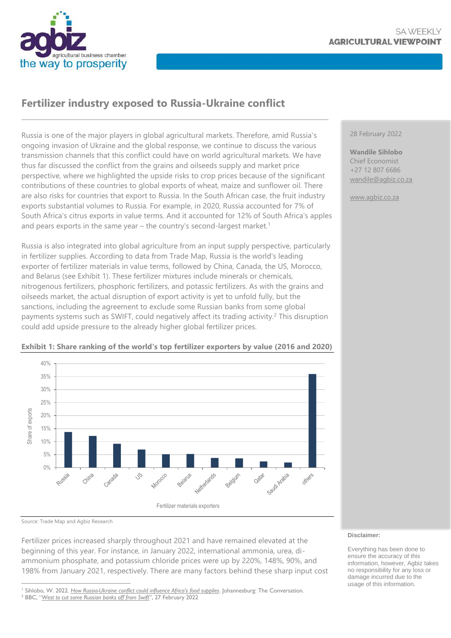

## **Fertilizer industry exposed to Russia-Ukraine conflict**

Russia is one of the major players in global agricultural markets. Therefore, amid Russia's ongoing invasion of Ukraine and the global response, we continue to discuss the various transmission channels that this conflict could have on world agricultural markets. We have thus far discussed the conflict from the grains and oilseeds supply and market price perspective, where we highlighted the upside risks to crop prices because of the significant contributions of these countries to global exports of wheat, maize and sunflower oil. There are also risks for countries that export to Russia. In the South African case, the fruit industry exports substantial volumes to Russia. For example, in 2020, Russia accounted for 7% of South Africa's citrus exports in value terms. And it accounted for 12% of South Africa's apples and pears exports in the same year – the country's second-largest market.<sup>1</sup>

Russia is also integrated into global agriculture from an input supply perspective, particularly in fertilizer supplies. According to data from Trade Map, Russia is the world's leading exporter of fertilizer materials in value terms, followed by China, Canada, the US, Morocco, and Belarus (see Exhibit 1). These fertilizer mixtures include minerals or chemicals, nitrogenous fertilizers, phosphoric fertilizers, and potassic fertilizers. As with the grains and oilseeds market, the actual disruption of export activity is yet to unfold fully, but the sanctions, including the agreement to exclude some Russian banks from some global payments systems such as SWIFT, could negatively affect its trading activity.<sup>2</sup> This disruption could add upside pressure to the already higher global fertilizer prices.



#### **Exhibit 1: Share ranking of the world's top fertilizer exporters by value (2016 and 2020)**

Source: Trade Map and Agbiz Research

Fertilizer prices increased sharply throughout 2021 and have remained elevated at the beginning of this year. For instance, in January 2022, international ammonia, urea, diammonium phosphate, and potassium chloride prices were up by 220%, 148%, 90%, and 198% from January 2021, respectively. There are many factors behind these sharp input cost

#### 28 February 2022

**Wandile Sihlobo** Chief Economist +27 12 807 6686 [wandile@agbiz.co.za](mailto:wandile@agbiz.co.za)

[www.agbiz.co.za](http://www.agbiz.co.za/)

#### **Disclaimer:**

Everything has been done to ensure the accuracy of this information, however, Agbiz takes no responsibility for any loss or damage incurred due to the usage of this information.

<sup>1</sup> Sihlobo, W. 2022. *How Russia-[Ukraine conflict could influence Africa's food supplies](https://theconversation.com/how-russia-ukraine-conflict-could-influence-africas-food-supplies-177843)*. Johannesburg: The Conversation.

<sup>2</sup> BBC, "*[West to cut some Russian banks off from Swift](https://www.bbc.com/news/world-60542433)*", 27 February 2022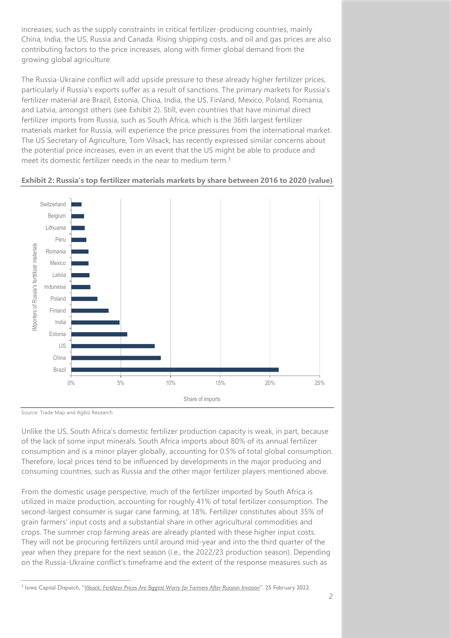increases, such as the supply constraints in critical fertilizer-producing countries, mainly China, India, the US, Russia and Canada. Rising shipping costs, and oil and gas prices are also contributing factors to the price increases, along with firmer global demand from the growing global agriculture.

The Russia-Ukraine conflict will add upside pressure to these already higher fertilizer prices, particularly if Russia's exports suffer as a result of sanctions. The primary markets for Russia's fertilizer material are Brazil, Estonia, China, India, the US, Finland, Mexico, Poland, Romania, and Latvia, amongst others (see Exhibit 2). Still, even countries that have minimal direct fertilizer imports from Russia, such as South Africa, which is the 36th largest fertilizer materials market for Russia, will experience the price pressures from the international market. The US Secretary of Agriculture, Tom Vilsack, has recently expressed similar concerns about the potential price increases, even in an event that the US might be able to produce and meet its domestic fertilizer needs in the near to medium term.<sup>3</sup>





Source: Trade Map and Agbiz Research

Unlike the US, South Africa's domestic fertilizer production capacity is weak, in part, because of the lack of some input minerals. South Africa imports about 80% of its annual fertilizer consumption and is a minor player globally, accounting for 0.5% of total global consumption. Therefore, local prices tend to be influenced by developments in the major producing and consuming countries, such as Russia and the other major fertilizer players mentioned above.

From the domestic usage perspective, much of the fertilizer imported by South Africa is utilized in maize production, accounting for roughly 41% of total fertilizer consumption. The second-largest consumer is sugar cane farming, at 18%. Fertilizer constitutes about 35% of grain farmers' input costs and a substantial share in other agricultural commodities and crops. The summer crop farming areas are already planted with these higher input costs. They will not be procuring fertilizers until around mid-year and into the third quarter of the year when they prepare for the next season (i.e., the 2022/23 production season). Depending on the Russia-Ukraine conflict's timeframe and the extent of the response measures such as

<sup>3</sup> Iowa Capital Dispatch, "*[Vilsack: Fertilizer Prices Are Biggest Worry for Farmers After Russian Invasion](https://www.agriculture.com/news/business/vilsack-fertilizer-prices-are-biggest-worry-for-farmers-after-russian-invasion)*". 25 February 2022.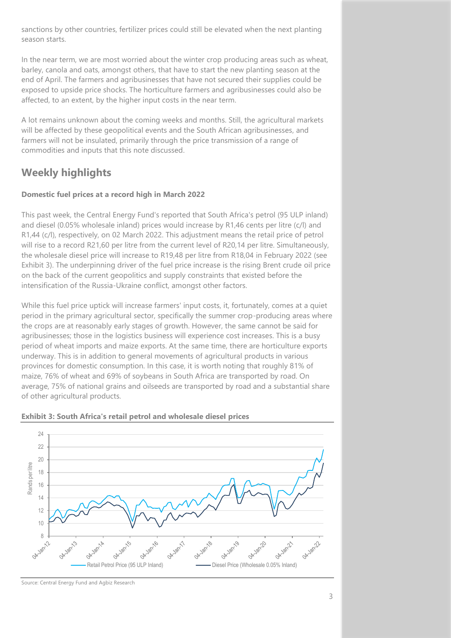sanctions by other countries, fertilizer prices could still be elevated when the next planting season starts.

In the near term, we are most worried about the winter crop producing areas such as wheat, barley, canola and oats, amongst others, that have to start the new planting season at the end of April. The farmers and agribusinesses that have not secured their supplies could be exposed to upside price shocks. The horticulture farmers and agribusinesses could also be affected, to an extent, by the higher input costs in the near term.

A lot remains unknown about the coming weeks and months. Still, the agricultural markets will be affected by these geopolitical events and the South African agribusinesses, and farmers will not be insulated, primarily through the price transmission of a range of commodities and inputs that this note discussed.

# **Weekly highlights**

### **Domestic fuel prices at a record high in March 2022**

This past week, the Central Energy Fund's reported that South Africa's petrol (95 ULP inland) and diesel (0.05% wholesale inland) prices would increase by R1,46 cents per litre (c/l) and R1,44 (c/l), respectively, on 02 March 2022. This adjustment means the retail price of petrol will rise to a record R21,60 per litre from the current level of R20,14 per litre. Simultaneously, the wholesale diesel price will increase to R19,48 per litre from R18,04 in February 2022 (see Exhibit 3). The underpinning driver of the fuel price increase is the rising Brent crude oil price on the back of the current geopolitics and supply constraints that existed before the intensification of the Russia-Ukraine conflict, amongst other factors.

While this fuel price uptick will increase farmers' input costs, it, fortunately, comes at a quiet period in the primary agricultural sector, specifically the summer crop-producing areas where the crops are at reasonably early stages of growth. However, the same cannot be said for agribusinesses; those in the logistics business will experience cost increases. This is a busy period of wheat imports and maize exports. At the same time, there are horticulture exports underway. This is in addition to general movements of agricultural products in various provinces for domestic consumption. In this case, it is worth noting that roughly 81% of maize, 76% of wheat and 69% of soybeans in South Africa are transported by road. On average, 75% of national grains and oilseeds are transported by road and a substantial share of other agricultural products.



#### **Exhibit 3: South Africa's retail petrol and wholesale diesel prices**

Source: Central Energy Fund and Agbiz Research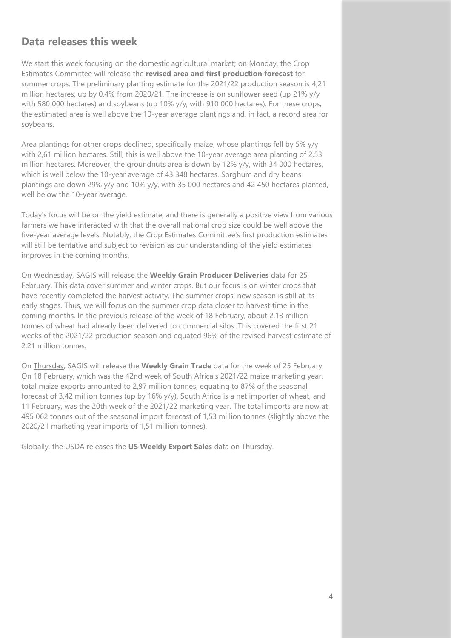## **Data releases this week**

We start this week focusing on the domestic agricultural market; on Monday, the Crop Estimates Committee will release the **revised area and first production forecast** for summer crops. The preliminary planting estimate for the 2021/22 production season is 4,21 million hectares, up by 0,4% from 2020/21. The increase is on sunflower seed (up 21% y/y with 580 000 hectares) and soybeans (up 10% y/y, with 910 000 hectares). For these crops, the estimated area is well above the 10-year average plantings and, in fact, a record area for soybeans.

Area plantings for other crops declined, specifically maize, whose plantings fell by 5% y/y with 2,61 million hectares. Still, this is well above the 10-year average area planting of 2,53 million hectares. Moreover, the groundnuts area is down by 12% y/y, with 34 000 hectares, which is well below the 10-year average of 43 348 hectares. Sorghum and dry beans plantings are down 29% y/y and 10% y/y, with 35 000 hectares and 42 450 hectares planted, well below the 10-year average.

Today's focus will be on the yield estimate, and there is generally a positive view from various farmers we have interacted with that the overall national crop size could be well above the five-year average levels. Notably, the Crop Estimates Committee's first production estimates will still be tentative and subject to revision as our understanding of the yield estimates improves in the coming months.

On Wednesday, SAGIS will release the **Weekly Grain Producer Deliveries** data for 25 February. This data cover summer and winter crops. But our focus is on winter crops that have recently completed the harvest activity. The summer crops' new season is still at its early stages. Thus, we will focus on the summer crop data closer to harvest time in the coming months. In the previous release of the week of 18 February, about 2,13 million tonnes of wheat had already been delivered to commercial silos. This covered the first 21 weeks of the 2021/22 production season and equated 96% of the revised harvest estimate of 2,21 million tonnes.

On Thursday, SAGIS will release the **Weekly Grain Trade** data for the week of 25 February. On 18 February, which was the 42nd week of South Africa's 2021/22 maize marketing year, total maize exports amounted to 2,97 million tonnes, equating to 87% of the seasonal forecast of 3,42 million tonnes (up by 16% y/y). South Africa is a net importer of wheat, and 11 February, was the 20th week of the 2021/22 marketing year. The total imports are now at 495 062 tonnes out of the seasonal import forecast of 1,53 million tonnes (slightly above the 2020/21 marketing year imports of 1,51 million tonnes).

Globally, the USDA releases the **US Weekly Export Sales** data on Thursday.